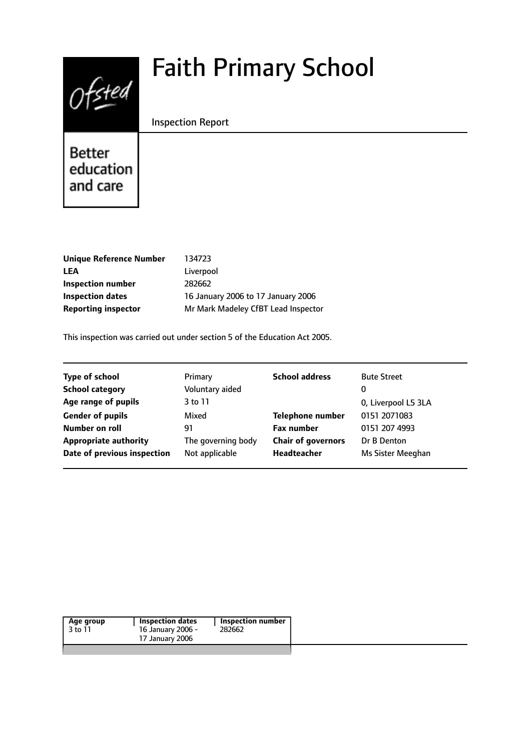# Faith Primary School



Inspection Report

Better education and care

| <b>Unique Reference Number</b> | 134723                              |
|--------------------------------|-------------------------------------|
| LEA                            | Liverpool                           |
| Inspection number              | 282662                              |
| <b>Inspection dates</b>        | 16 January 2006 to 17 January 2006  |
| <b>Reporting inspector</b>     | Mr Mark Madeley CfBT Lead Inspector |
|                                |                                     |

This inspection was carried out under section 5 of the Education Act 2005.

| <b>Type of school</b>        | Primary            | <b>School address</b>     | <b>Bute Street</b>  |
|------------------------------|--------------------|---------------------------|---------------------|
| <b>School category</b>       | Voluntary aided    |                           | 0                   |
| Age range of pupils          | 3 to 11            |                           | 0, Liverpool L5 3LA |
| <b>Gender of pupils</b>      | Mixed              | <b>Telephone number</b>   | 0151 2071083        |
| Number on roll               | 91                 | <b>Fax number</b>         | 0151 207 4993       |
| <b>Appropriate authority</b> | The governing body | <b>Chair of governors</b> | Dr B Denton         |
| Date of previous inspection  | Not applicable     | Headteacher               | Ms Sister Meeghan   |
|                              |                    |                           |                     |

| Age group<br>3 to 11 | <b>Inspection dates</b><br>16 January 2006 -<br>17 January 2006 | <b>Inspection number</b><br>282662 |
|----------------------|-----------------------------------------------------------------|------------------------------------|
|                      |                                                                 |                                    |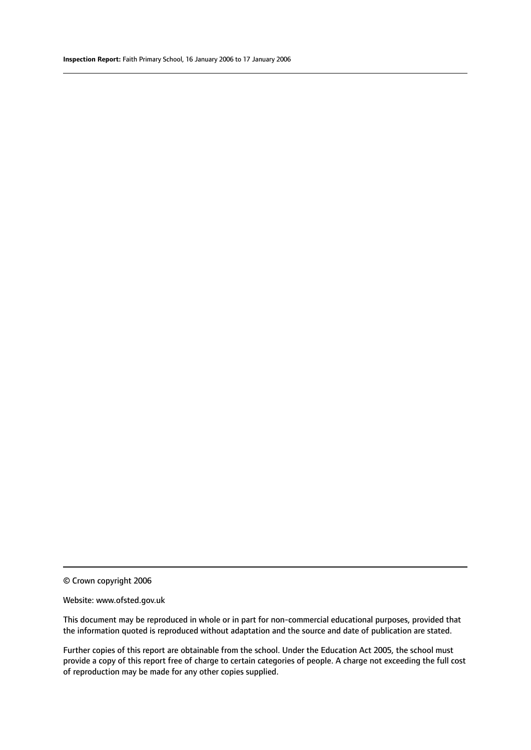#### Website: www.ofsted.gov.uk

This document may be reproduced in whole or in part for non-commercial educational purposes, provided that the information quoted is reproduced without adaptation and the source and date of publication are stated.

Further copies of this report are obtainable from the school. Under the Education Act 2005, the school must provide a copy of this report free of charge to certain categories of people. A charge not exceeding the full cost of reproduction may be made for any other copies supplied.

<sup>©</sup> Crown copyright 2006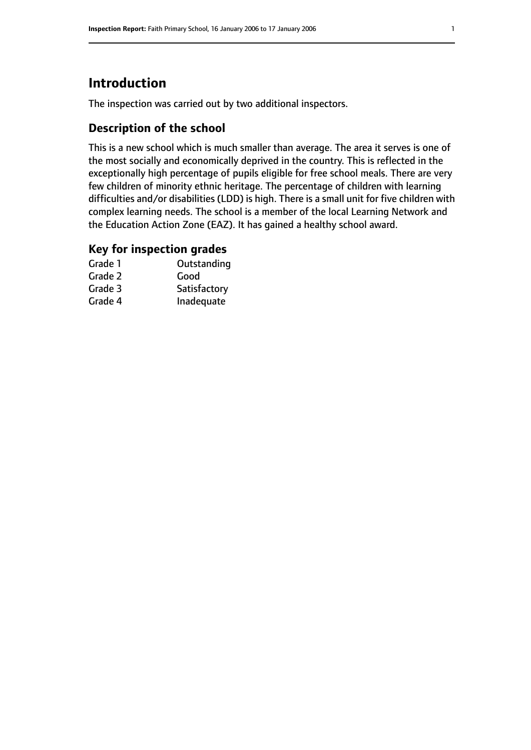# **Introduction**

The inspection was carried out by two additional inspectors.

# **Description of the school**

This is a new school which is much smaller than average. The area it serves is one of the most socially and economically deprived in the country. This is reflected in the exceptionally high percentage of pupils eligible for free school meals. There are very few children of minority ethnic heritage. The percentage of children with learning difficulties and/or disabilities (LDD) is high. There is a small unit for five children with complex learning needs. The school is a member of the local Learning Network and the Education Action Zone (EAZ). It has gained a healthy school award.

# **Key for inspection grades**

| Grade 1 | Outstanding  |
|---------|--------------|
| Grade 2 | Good         |
| Grade 3 | Satisfactory |
| Grade 4 | Inadequate   |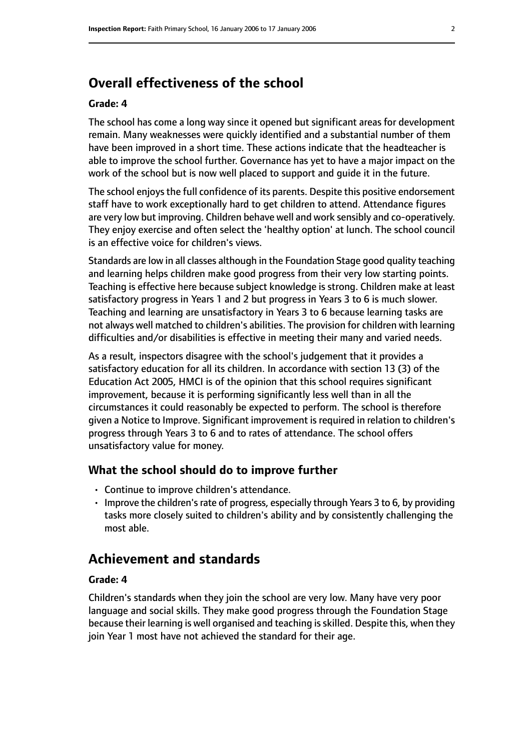# **Overall effectiveness of the school**

#### **Grade: 4**

The school has come a long way since it opened but significant areas for development remain. Many weaknesses were quickly identified and a substantial number of them have been improved in a short time. These actions indicate that the headteacher is able to improve the school further. Governance has yet to have a major impact on the work of the school but is now well placed to support and guide it in the future.

The school enjoysthe full confidence of its parents. Despite this positive endorsement staff have to work exceptionally hard to get children to attend. Attendance figures are very low but improving. Children behave well and work sensibly and co-operatively. They enjoy exercise and often select the 'healthy option' at lunch. The school council is an effective voice for children's views.

Standards are low in all classes although in the Foundation Stage good quality teaching and learning helps children make good progress from their very low starting points. Teaching is effective here because subject knowledge is strong. Children make at least satisfactory progress in Years 1 and 2 but progress in Years 3 to 6 is much slower. Teaching and learning are unsatisfactory in Years 3 to 6 because learning tasks are not always well matched to children's abilities. The provision for children with learning difficulties and/or disabilities is effective in meeting their many and varied needs.

As a result, inspectors disagree with the school's judgement that it provides a satisfactory education for all its children. In accordance with section 13 (3) of the Education Act 2005, HMCI is of the opinion that this school requires significant improvement, because it is performing significantly less well than in all the circumstances it could reasonably be expected to perform. The school is therefore given a Notice to Improve. Significant improvement is required in relation to children's progress through Years 3 to 6 and to rates of attendance. The school offers unsatisfactory value for money.

## **What the school should do to improve further**

- Continue to improve children's attendance.
- Improve the children's rate of progress, especially through Years 3 to 6, by providing tasks more closely suited to children's ability and by consistently challenging the most able.

# **Achievement and standards**

#### **Grade: 4**

Children's standards when they join the school are very low. Many have very poor language and social skills. They make good progress through the Foundation Stage because their learning is well organised and teaching is skilled. Despite this, when they join Year 1 most have not achieved the standard for their age.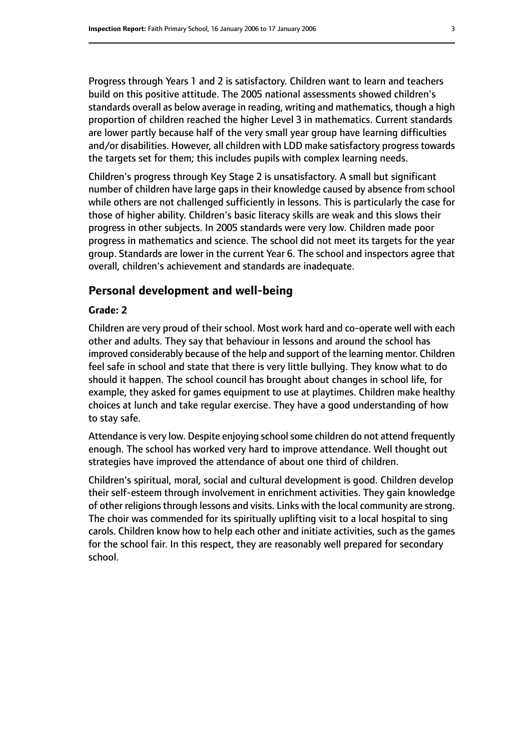Progress through Years 1 and 2 is satisfactory. Children want to learn and teachers build on this positive attitude. The 2005 national assessments showed children's standards overall as below average in reading, writing and mathematics, though a high proportion of children reached the higher Level 3 in mathematics. Current standards are lower partly because half of the very small year group have learning difficulties and/or disabilities. However, all children with LDD make satisfactory progress towards the targets set for them; this includes pupils with complex learning needs.

Children's progress through Key Stage 2 is unsatisfactory. A small but significant number of children have large gaps in their knowledge caused by absence from school while others are not challenged sufficiently in lessons. This is particularly the case for those of higher ability. Children's basic literacy skills are weak and this slows their progress in other subjects. In 2005 standards were very low. Children made poor progress in mathematics and science. The school did not meet its targets for the year group. Standards are lower in the current Year 6. The school and inspectors agree that overall, children's achievement and standards are inadequate.

#### **Personal development and well-being**

## **Grade: 2**

Children are very proud of their school. Most work hard and co-operate well with each other and adults. They say that behaviour in lessons and around the school has improved considerably because of the help and support of the learning mentor. Children feel safe in school and state that there is very little bullying. They know what to do should it happen. The school council has brought about changes in school life, for example, they asked for games equipment to use at playtimes. Children make healthy choices at lunch and take regular exercise. They have a good understanding of how to stay safe.

Attendance is very low. Despite enjoying school some children do not attend frequently enough. The school has worked very hard to improve attendance. Well thought out strategies have improved the attendance of about one third of children.

Children's spiritual, moral, social and cultural development is good. Children develop their self-esteem through involvement in enrichment activities. They gain knowledge of other religions through lessons and visits. Links with the local community are strong. The choir was commended for its spiritually uplifting visit to a local hospital to sing carols. Children know how to help each other and initiate activities, such as the games for the school fair. In this respect, they are reasonably well prepared for secondary school.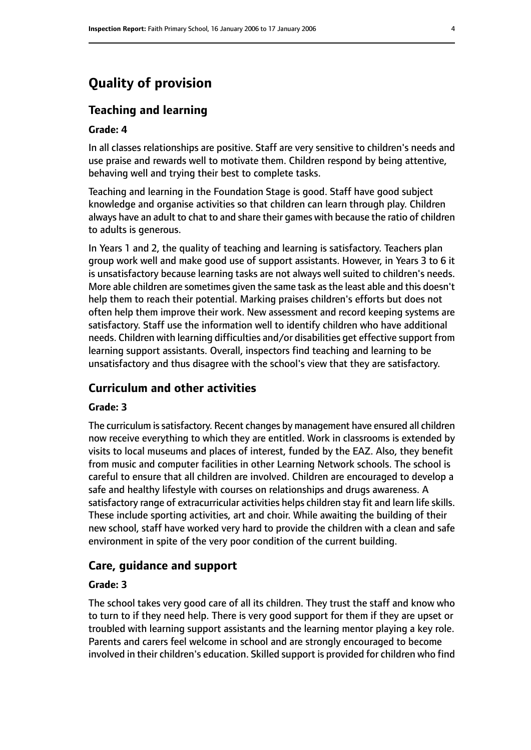# **Quality of provision**

# **Teaching and learning**

## **Grade: 4**

In all classes relationships are positive. Staff are very sensitive to children's needs and use praise and rewards well to motivate them. Children respond by being attentive, behaving well and trying their best to complete tasks.

Teaching and learning in the Foundation Stage is good. Staff have good subject knowledge and organise activities so that children can learn through play. Children always have an adult to chat to and share their games with because the ratio of children to adults is generous.

In Years 1 and 2, the quality of teaching and learning is satisfactory. Teachers plan group work well and make good use of support assistants. However, in Years 3 to 6 it is unsatisfactory because learning tasks are not always well suited to children's needs. More able children are sometimes given the same task asthe least able and this doesn't help them to reach their potential. Marking praises children's efforts but does not often help them improve their work. New assessment and record keeping systems are satisfactory. Staff use the information well to identify children who have additional needs. Children with learning difficulties and/or disabilities get effective support from learning support assistants. Overall, inspectors find teaching and learning to be unsatisfactory and thus disagree with the school's view that they are satisfactory.

# **Curriculum and other activities**

## **Grade: 3**

The curriculum is satisfactory. Recent changes by management have ensured all children now receive everything to which they are entitled. Work in classrooms is extended by visits to local museums and places of interest, funded by the EAZ. Also, they benefit from music and computer facilities in other Learning Network schools. The school is careful to ensure that all children are involved. Children are encouraged to develop a safe and healthy lifestyle with courses on relationships and drugs awareness. A satisfactory range of extracurricular activities helps children stay fit and learn life skills. These include sporting activities, art and choir. While awaiting the building of their new school, staff have worked very hard to provide the children with a clean and safe environment in spite of the very poor condition of the current building.

## **Care, guidance and support**

#### **Grade: 3**

The school takes very good care of all its children. They trust the staff and know who to turn to if they need help. There is very good support for them if they are upset or troubled with learning support assistants and the learning mentor playing a key role. Parents and carers feel welcome in school and are strongly encouraged to become involved in their children's education. Skilled support is provided for children who find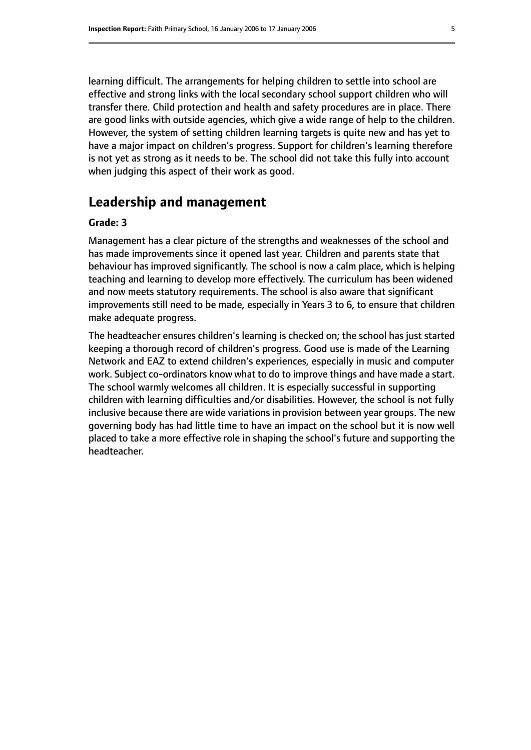learning difficult. The arrangements for helping children to settle into school are effective and strong links with the local secondary school support children who will transfer there. Child protection and health and safety procedures are in place. There are good links with outside agencies, which give a wide range of help to the children. However, the system of setting children learning targets is quite new and has yet to have a major impact on children's progress. Support for children's learning therefore is not yet as strong as it needs to be. The school did not take this fully into account when judging this aspect of their work as good.

# **Leadership and management**

#### **Grade: 3**

Management has a clear picture of the strengths and weaknesses of the school and has made improvements since it opened last year. Children and parents state that behaviour has improved significantly. The school is now a calm place, which is helping teaching and learning to develop more effectively. The curriculum has been widened and now meets statutory requirements. The school is also aware that significant improvements still need to be made, especially in Years 3 to 6, to ensure that children make adequate progress.

The headteacher ensures children's learning is checked on; the school has just started keeping a thorough record of children's progress. Good use is made of the Learning Network and EAZ to extend children's experiences, especially in music and computer work. Subject co-ordinators know what to do to improve things and have made a start. The school warmly welcomes all children. It is especially successful in supporting children with learning difficulties and/or disabilities. However, the school is not fully inclusive because there are wide variations in provision between year groups. The new governing body has had little time to have an impact on the school but it is now well placed to take a more effective role in shaping the school's future and supporting the headteacher.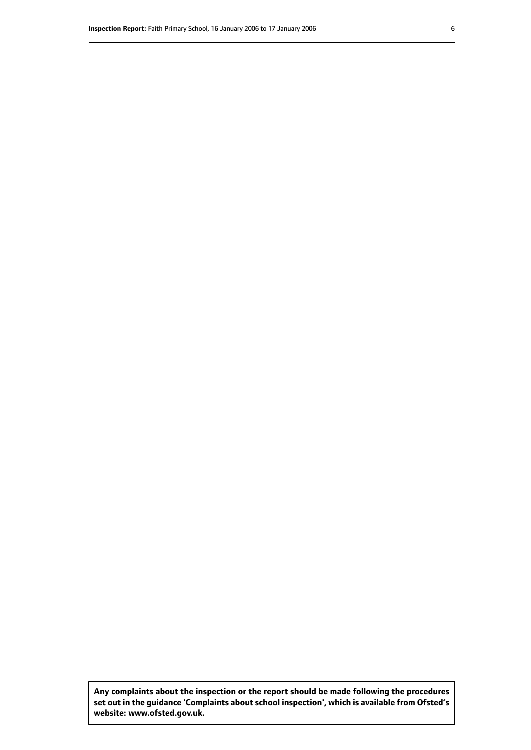**Any complaints about the inspection or the report should be made following the procedures set out inthe guidance 'Complaints about school inspection', whichis available from Ofsted's website: www.ofsted.gov.uk.**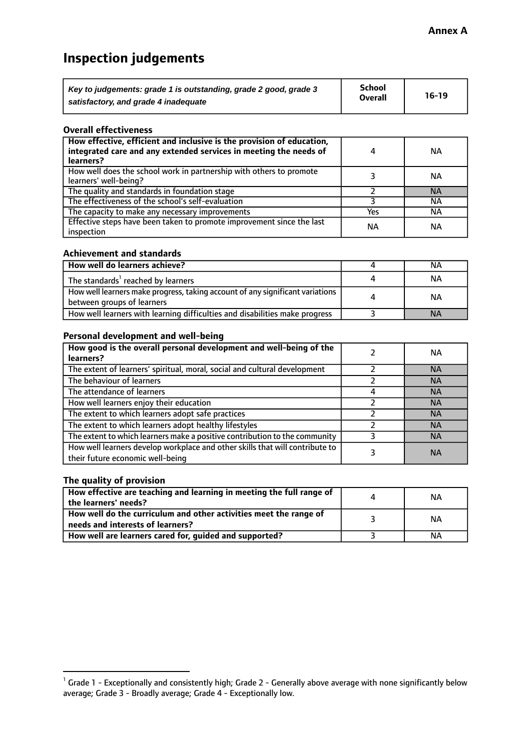# **Inspection judgements**

| Key to judgements: grade 1 is outstanding, grade 2 good, grade 3 | <b>School</b>  | $16-19$ |
|------------------------------------------------------------------|----------------|---------|
| satisfactory, and grade 4 inadequate                             | <b>Overall</b> |         |

#### **Overall effectiveness**

| How effective, efficient and inclusive is the provision of education,<br>integrated care and any extended services in meeting the needs of<br>learners? |     | <b>NA</b> |
|---------------------------------------------------------------------------------------------------------------------------------------------------------|-----|-----------|
| How well does the school work in partnership with others to promote<br>learners' well-being?                                                            |     | ΝA        |
| The quality and standards in foundation stage                                                                                                           |     | <b>NA</b> |
| The effectiveness of the school's self-evaluation                                                                                                       |     | ΝA        |
| The capacity to make any necessary improvements                                                                                                         | Yes | NА        |
| Effective steps have been taken to promote improvement since the last<br>inspection                                                                     | ΝA  | <b>NA</b> |

#### **Achievement and standards**

| How well do learners achieve?                                                                               | NА        |
|-------------------------------------------------------------------------------------------------------------|-----------|
| The standards <sup>1</sup> reached by learners                                                              | NА        |
| How well learners make progress, taking account of any significant variations<br>between groups of learners | <b>NA</b> |
| How well learners with learning difficulties and disabilities make progress                                 | <b>NA</b> |

## **Personal development and well-being**

| How good is the overall personal development and well-being of the<br>learners?                                  | ΝA        |
|------------------------------------------------------------------------------------------------------------------|-----------|
| The extent of learners' spiritual, moral, social and cultural development                                        | <b>NA</b> |
| The behaviour of learners                                                                                        | <b>NA</b> |
| The attendance of learners                                                                                       | <b>NA</b> |
| How well learners enjoy their education                                                                          | <b>NA</b> |
| The extent to which learners adopt safe practices                                                                | <b>NA</b> |
| The extent to which learners adopt healthy lifestyles                                                            | <b>NA</b> |
| The extent to which learners make a positive contribution to the community                                       | <b>NA</b> |
| How well learners develop workplace and other skills that will contribute to<br>their future economic well-being | <b>NA</b> |

# **The quality of provision**

| How effective are teaching and learning in meeting the full range of<br>the learners' needs?          | ΝA |
|-------------------------------------------------------------------------------------------------------|----|
| How well do the curriculum and other activities meet the range of<br>needs and interests of learners? | ΝA |
| How well are learners cared for, guided and supported?                                                | NА |

 $^1$  Grade 1 - Exceptionally and consistently high; Grade 2 - Generally above average with none significantly below average; Grade 3 - Broadly average; Grade 4 - Exceptionally low.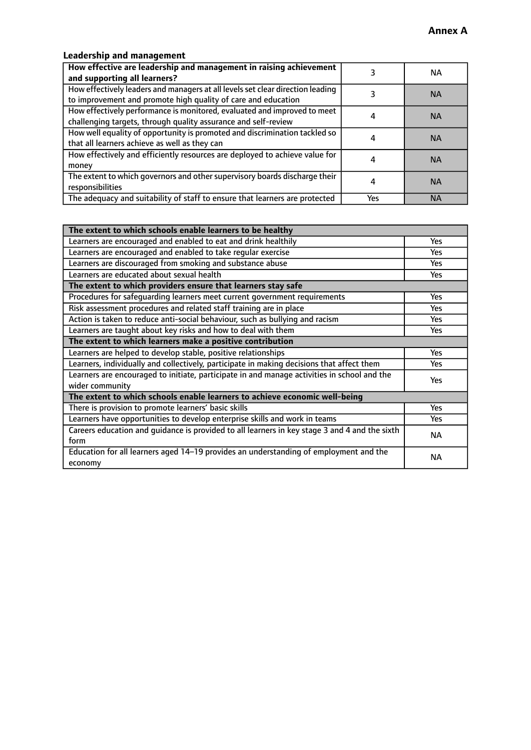# **Leadership and management**

| How effective are leadership and management in raising achievement<br>and supporting all learners?                                              |     | NA.       |
|-------------------------------------------------------------------------------------------------------------------------------------------------|-----|-----------|
| How effectively leaders and managers at all levels set clear direction leading<br>to improvement and promote high quality of care and education |     | <b>NA</b> |
| How effectively performance is monitored, evaluated and improved to meet<br>challenging targets, through quality assurance and self-review      |     | <b>NA</b> |
| How well equality of opportunity is promoted and discrimination tackled so<br>that all learners achieve as well as they can                     |     | <b>NA</b> |
| How effectively and efficiently resources are deployed to achieve value for<br>money                                                            |     | <b>NA</b> |
| The extent to which governors and other supervisory boards discharge their<br>responsibilities                                                  |     | <b>NA</b> |
| The adequacy and suitability of staff to ensure that learners are protected                                                                     | Yes | <b>NA</b> |

| The extent to which schools enable learners to be healthy                                     |            |
|-----------------------------------------------------------------------------------------------|------------|
| Learners are encouraged and enabled to eat and drink healthily                                | Yes        |
| Learners are encouraged and enabled to take regular exercise                                  | Yes        |
| Learners are discouraged from smoking and substance abuse                                     | <b>Yes</b> |
| Learners are educated about sexual health                                                     | <b>Yes</b> |
| The extent to which providers ensure that learners stay safe                                  |            |
| Procedures for safequarding learners meet current government requirements                     | Yes        |
| Risk assessment procedures and related staff training are in place                            | Yes        |
| Action is taken to reduce anti-social behaviour, such as bullying and racism                  | Yes        |
| Learners are taught about key risks and how to deal with them                                 |            |
| The extent to which learners make a positive contribution                                     |            |
| Learners are helped to develop stable, positive relationships                                 | Yes        |
| Learners, individually and collectively, participate in making decisions that affect them     |            |
| Learners are encouraged to initiate, participate in and manage activities in school and the   |            |
| wider community                                                                               | <b>Yes</b> |
| The extent to which schools enable learners to achieve economic well-being                    |            |
| There is provision to promote learners' basic skills                                          | Yes        |
| Learners have opportunities to develop enterprise skills and work in teams                    | <b>Yes</b> |
| Careers education and guidance is provided to all learners in key stage 3 and 4 and the sixth | <b>NA</b>  |
| form                                                                                          |            |
| Education for all learners aged 14-19 provides an understanding of employment and the         | NА         |
| economy                                                                                       |            |